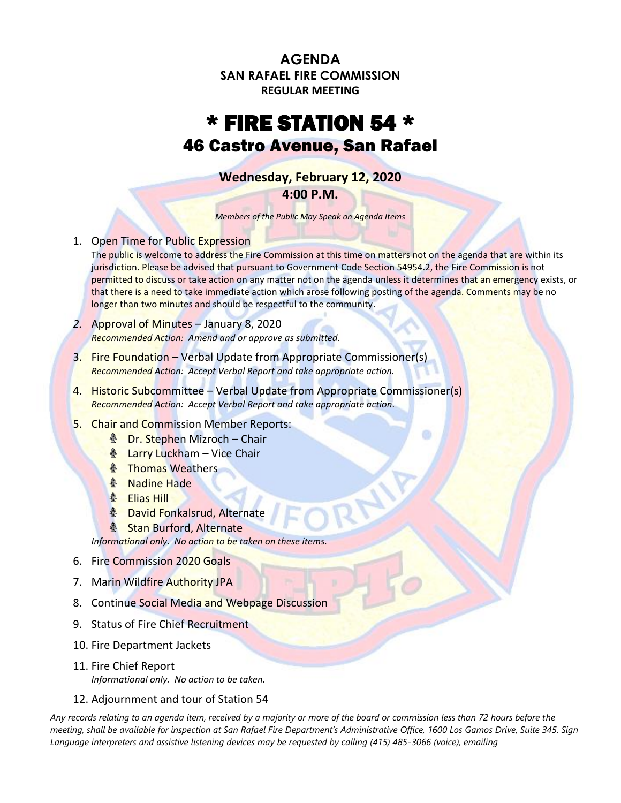**AGENDA SAN RAFAEL FIRE COMMISSION REGULAR MEETING**

## \* FIRE STATION 54 \* 46 Castro Avenue, San Rafael

**Wednesday, February 12, 2020**

**4:00 P.M.**

*Members of the Public May Speak on Agenda Items*

1. Open Time for Public Expression

The public is welcome to address the Fire Commission at this time on matters not on the agenda that are within its jurisdiction. Please be advised that pursuant to Government Code Section 54954.2, the Fire Commission is not permitted to discuss or take action on any matter not on the agenda unless it determines that an emergency exists, or that there is a need to take immediate action which arose following posting of the agenda. Comments may be no longer than two minutes and should be respectful to the community.

- *2.* Approval of Minutes January 8, 2020 *Recommended Action: Amend and or approve as submitted.*
- 3. Fire Foundation Verbal Update from Appropriate Commissioner(s) *Recommended Action: Accept Verbal Report and take appropriate action.*
- 4. Historic Subcommittee Verbal Update from Appropriate Commissioner(s) *Recommended Action: Accept Verbal Report and take appropriate action.*
- 5. Chair and Commission Member Reports:
	- **A** Dr. Stephen Mizroch Chair
	- **& Larry Luckham Vice Chair**
	- **A** Thomas Weathers
	- **A** Nadine Hade
	- **A** Elias Hill
	- **A** David Fonkalsrud, Alternate
	- **A** Stan Burford, Alternate

*Informational only. No action to be taken on these items.*

- 6. Fire Commission 2020 Goals
- 7. Marin Wildfire Authority JPA
- 8. Continue Social Media and Webpage Discussion
- 9. Status of Fire Chief Recruitment
- 10. Fire Department Jackets
- 11. Fire Chief Report

*Informational only. No action to be taken.*

12. Adjournment and tour of Station 54

*Any records relating to an agenda item, received by a majority or more of the board or commission less than 72 hours before the meeting, shall be available for inspection at San Rafael Fire Department's Administrative Office, 1600 Los Gamos Drive, Suite 345. Sign Language interpreters and assistive listening devices may be requested by calling (415) 485-3066 (voice), emailing*